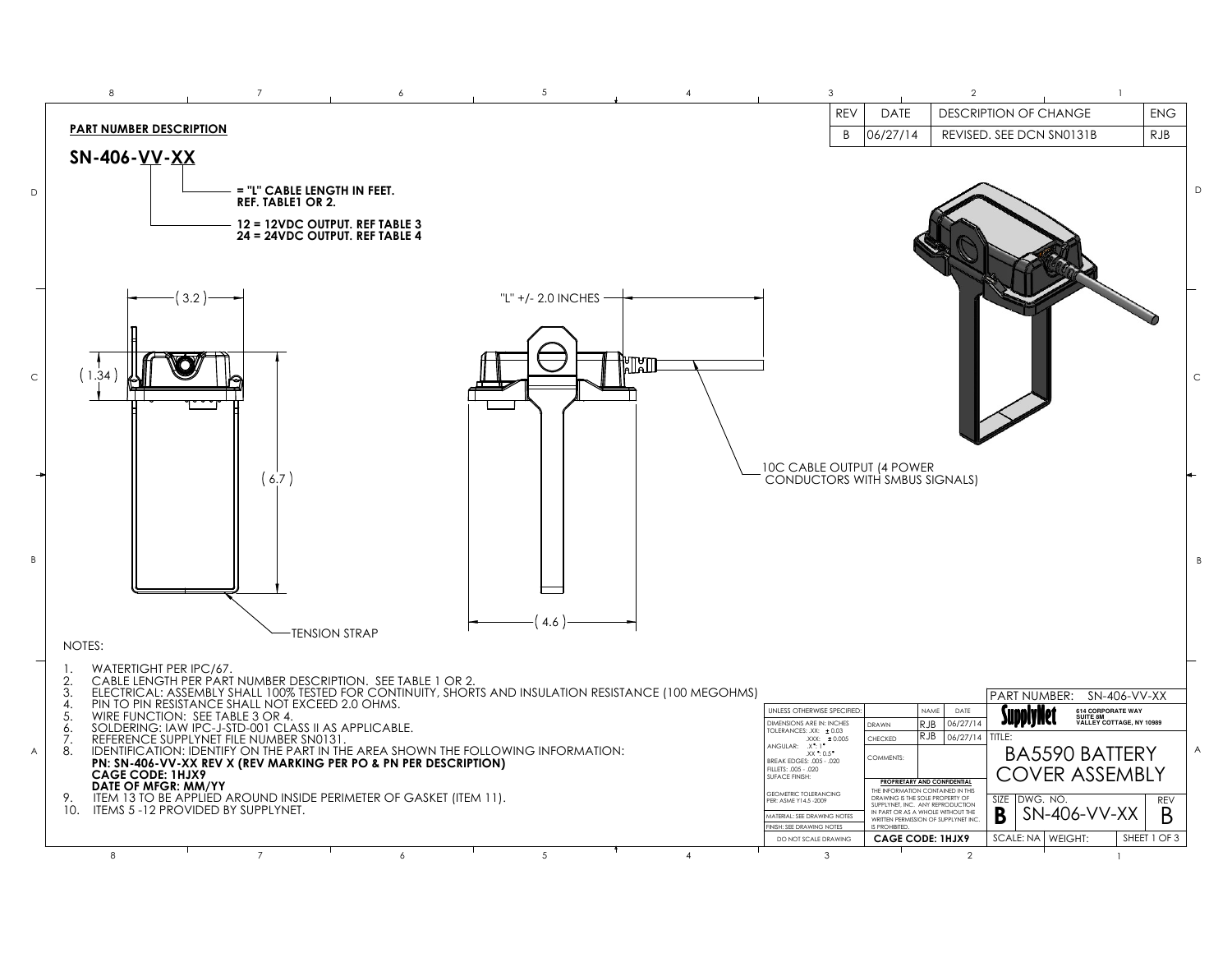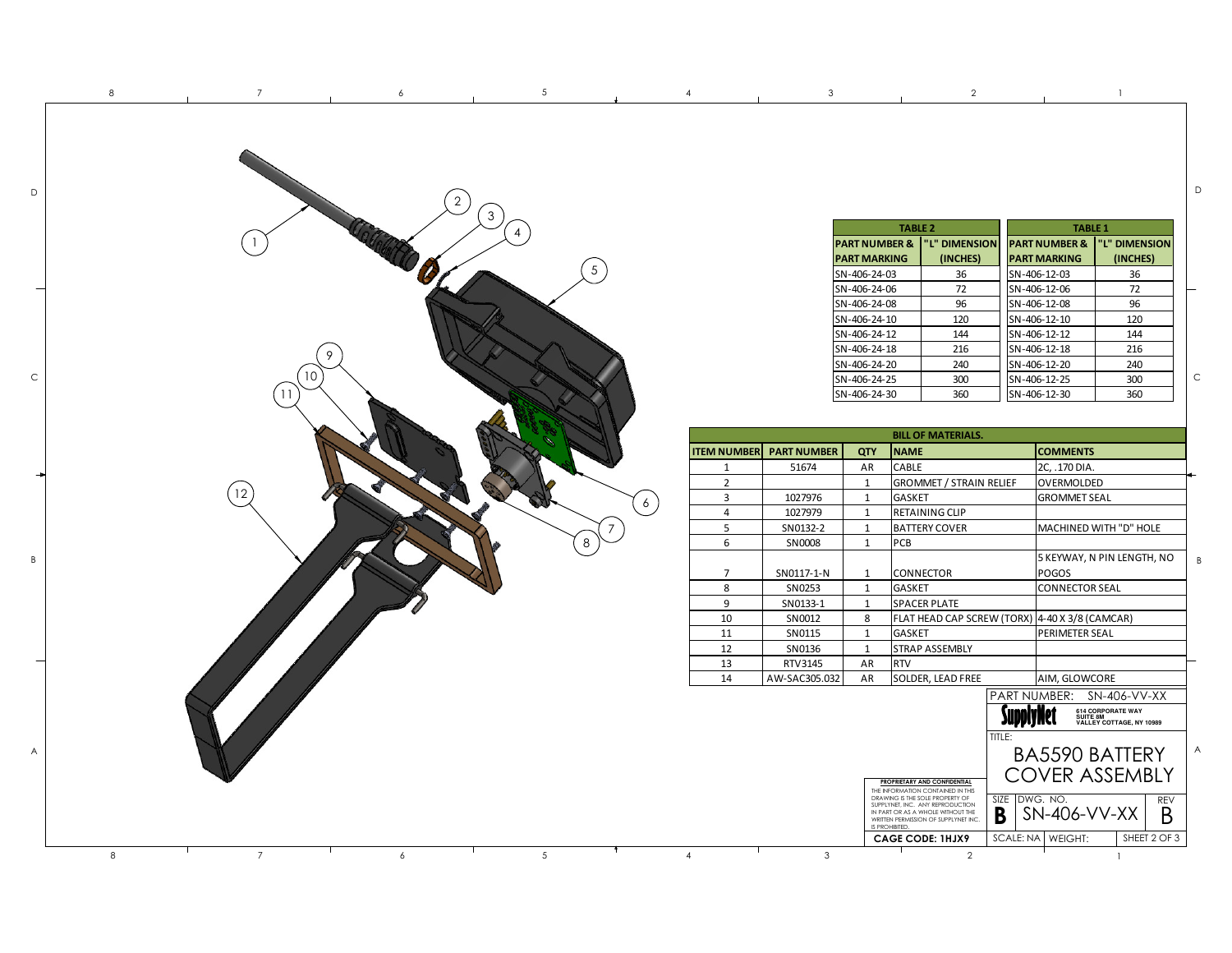